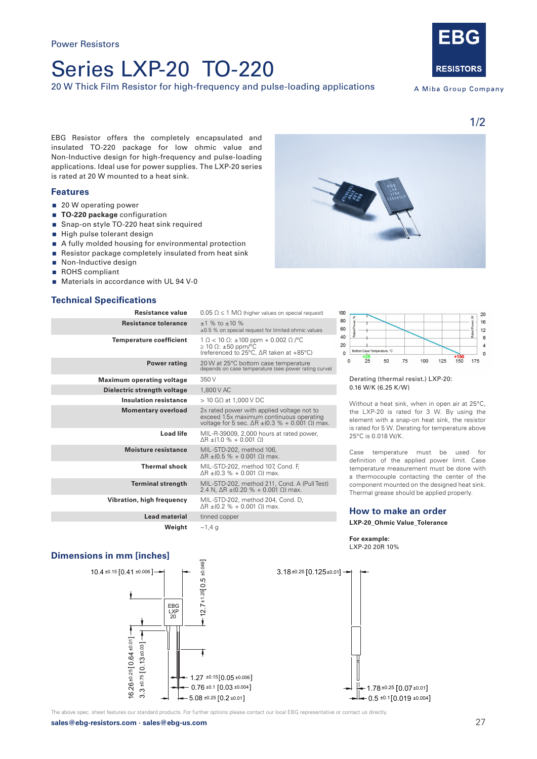# Series LXP-20 TO-220

20 W Thick Film Resistor for high-frequency and pulse-loading applications



A Miba Group Company

EBG Resistor offers the completely encapsulated and insulated TO-220 package for low ohmic value and Non-Inductive design for high-frequency and pulse-loading applications. Ideal use for power supplies. The LXP-20 series is rated at 20 W mounted to a heat sink.

## **Features**

- 20 W operating power
- **TO-220 package** configuration
- **Snap-on style TO-220 heat sink required**
- $\blacksquare$  High pulse tolerant design
- A fully molded housing for environmental protection
- Resistor package completely insulated from heat sink
- Non-Inductive design
- ROHS compliant
- Materials in accordance with UL 94 V-0

# **Technical Specifications**

| Resistance value                 | $0.05 \Omega \le 1 \text{ M}\Omega$ (higher values on special request)                                                                                   |
|----------------------------------|----------------------------------------------------------------------------------------------------------------------------------------------------------|
| <b>Resistance tolerance</b>      | $+1$ % to $+10$ %<br>±0.5 % on special request for limited ohmic values                                                                                  |
| <b>Temperature coefficient</b>   | $1 \Omega < 10 \Omega$ : ±100 ppm + 0.002 $\Omega$ / °C<br>$\geq$ 10 $\Omega$ : ±50 ppm/°C<br>(referenced to 25°C, ∆R taken at +85°C)                    |
| <b>Power rating</b>              | 20 W at 25°C bottom case temperature<br>depends on case temperature (see power rating curve)                                                             |
| <b>Maximum operating voltage</b> | 350 V                                                                                                                                                    |
| Dielectric strength voltage      | 1,800 V AC                                                                                                                                               |
| <b>Insulation resistance</b>     | $>$ 10 GQ at 1.000 V DC                                                                                                                                  |
| <b>Momentary overload</b>        | 2x rated power with applied voltage not to<br>exceed 1.5x maximum continuous operating<br>voltage for 5 sec. $\Delta R \pm (0.3 \% + 0.001 \Omega)$ max. |
| <b>Load life</b>                 | MIL-R-39009, 2,000 hours at rated power,<br>$\Delta$ R ±(1.0 % + 0.001 $\Omega$ )                                                                        |
| <b>Moisture resistance</b>       | MIL-STD-202, method 106,<br>$ΔR ± (0.5 % + 0.001 Ω)$ max.                                                                                                |
| <b>Thermal shock</b>             | MIL-STD-202, method 107, Cond. F,<br>ΔR $\pm$ (0.3 % + 0.001 Ω) max.                                                                                     |
| <b>Terminal strength</b>         | MIL-STD-202, method 211, Cond. A (Pull Test)<br>2.4 N, $\Delta$ R $\pm$ (0.20 % + 0.001 $\Omega$ ) max.                                                  |
| Vibration, high frequency        | MIL-STD-202, method 204, Cond. D,<br>ΔR ±(0.2 % + 0.001 Ω) max.                                                                                          |
| <b>Lead material</b>             | tinned copper                                                                                                                                            |
| Weight                           | ~1,4 q                                                                                                                                                   |





#### Derating (thermal resist.) LXP-20: 0.16 W/K (6.25 K/W)

Without a heat sink, when in open air at 25°C. the LXP-20 is rated for 3 W. By using the element with a snap-on heat sink, the resistor is rated for 5 W. Derating for temperature above 25°C is 0.018 W/K.

Case temperature must be used for definition of the applied power limit. Case temperature measurement must be done with a thermocouple contacting the center of the component mounted on the designed heat sink. Thermal grease should be applied properly.

## **How to make an order**

**LXP-20\_Ohmic Value\_Tolerance**

**Dimensions in mm [inches]**



 $3.18 \pm 0.25$   $[0.125 \pm 0.01]$   $\rightarrow$  $-0.5 \pm 0.1$  [0.019  $\pm 0.004$ ] 1.78±0.25 0.07±0.01]

The above spec. sheet features our standard products. For further options please contact our local EBG representative or contact us directly.

**For example:**  LXP-20 20R 10%